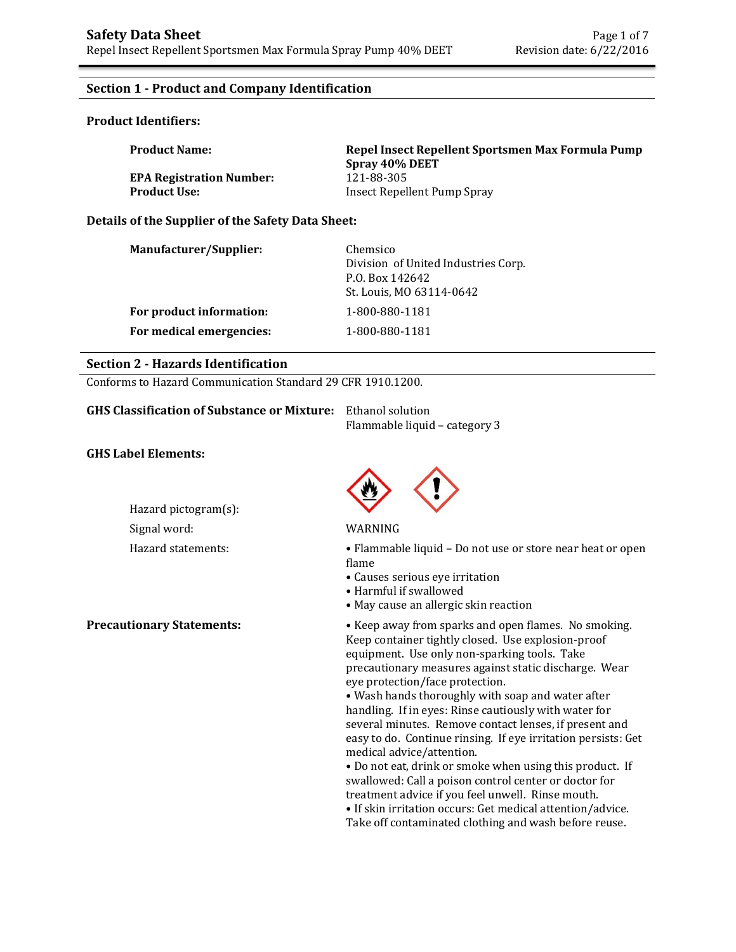# **Section 1 - Product and Company Identification**

### **Product Identifiers:**

| <b>Product Name:</b>            | Repel Insect Repellent Sportsmen Max Formula Pump<br>Spray 40% DEET |
|---------------------------------|---------------------------------------------------------------------|
| <b>EPA Registration Number:</b> | 121-88-305                                                          |
| <b>Product Use:</b>             | Insect Repellent Pump Spray                                         |

# **Details of the Supplier of the Safety Data Sheet:**

| Manufacturer/Supplier:   | Chemsico<br>Division of United Industries Corp.<br>P.O. Box 142642<br>St. Louis, MO 63114-0642 |
|--------------------------|------------------------------------------------------------------------------------------------|
| For product information: | 1-800-880-1181                                                                                 |
| For medical emergencies: | 1-800-880-1181                                                                                 |

### **Section 2 - Hazards Identification**

Conforms to Hazard Communication Standard 29 CFR 1910.1200.

| <b>GHS Classification of Substance or Mixture:</b> Ethanol solution |                               |  |
|---------------------------------------------------------------------|-------------------------------|--|
|                                                                     | Flammable liquid – category 3 |  |

### **GHS Label Elements:**

Hazard pictogram(s): Signal word: WARNING



Hazard statements: • Flammable liquid – Do not use or store near heat or open flame

- Causes serious eye irritation
- Harmful if swallowed
- May cause an allergic skin reaction

**Precautionary Statements:** • Keep away from sparks and open flames. No smoking. Keep container tightly closed. Use explosion-proof equipment. Use only non-sparking tools. Take precautionary measures against static discharge. Wear eye protection/face protection.

• Wash hands thoroughly with soap and water after handling. If in eyes: Rinse cautiously with water for several minutes. Remove contact lenses, if present and easy to do. Continue rinsing. If eye irritation persists: Get medical advice/attention.

• Do not eat, drink or smoke when using this product. If swallowed: Call a poison control center or doctor for treatment advice if you feel unwell. Rinse mouth. • If skin irritation occurs: Get medical attention/advice. Take off contaminated clothing and wash before reuse.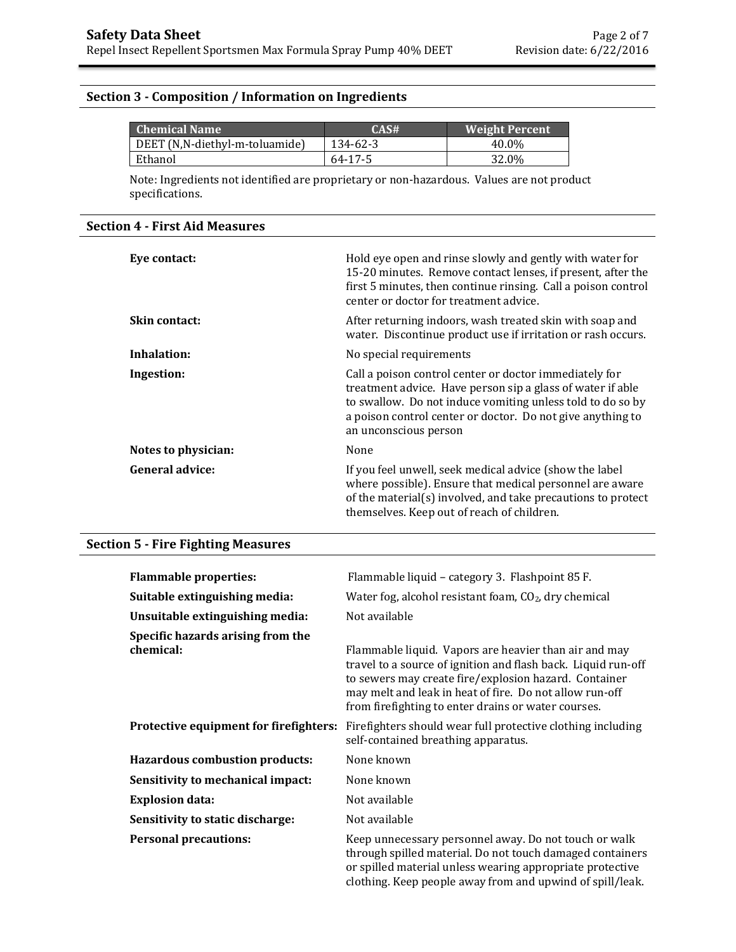# **Section 3 - Composition / Information on Ingredients**

| <b>Chemical Name</b>           | CASH     | <b>Weight Percent</b> |
|--------------------------------|----------|-----------------------|
| DEET (N,N-diethyl-m-toluamide) | 134-62-3 | 40.0%                 |
| Ethanol                        | 64-17-5  | 32.0%                 |

Note: Ingredients not identified are proprietary or non-hazardous. Values are not product specifications.

# **Section 4 - First Aid Measures**

| Eye contact:           | Hold eye open and rinse slowly and gently with water for<br>15-20 minutes. Remove contact lenses, if present, after the<br>first 5 minutes, then continue rinsing. Call a poison control<br>center or doctor for treatment advice.                                        |
|------------------------|---------------------------------------------------------------------------------------------------------------------------------------------------------------------------------------------------------------------------------------------------------------------------|
| Skin contact:          | After returning indoors, wash treated skin with soap and<br>water. Discontinue product use if irritation or rash occurs.                                                                                                                                                  |
| Inhalation:            | No special requirements                                                                                                                                                                                                                                                   |
| Ingestion:             | Call a poison control center or doctor immediately for<br>treatment advice. Have person sip a glass of water if able<br>to swallow. Do not induce vomiting unless told to do so by<br>a poison control center or doctor. Do not give anything to<br>an unconscious person |
| Notes to physician:    | None                                                                                                                                                                                                                                                                      |
| <b>General advice:</b> | If you feel unwell, seek medical advice (show the label<br>where possible). Ensure that medical personnel are aware<br>of the material(s) involved, and take precautions to protect<br>themselves. Keep out of reach of children.                                         |

# **Section 5 - Fire Fighting Measures**

| <b>Flammable properties:</b>                   | Flammable liquid - category 3. Flashpoint 85 F.                                                                                                                                                                                                                                                   |
|------------------------------------------------|---------------------------------------------------------------------------------------------------------------------------------------------------------------------------------------------------------------------------------------------------------------------------------------------------|
| Suitable extinguishing media:                  | Water fog, alcohol resistant foam, CO <sub>2</sub> , dry chemical                                                                                                                                                                                                                                 |
| Unsuitable extinguishing media:                | Not available                                                                                                                                                                                                                                                                                     |
| Specific hazards arising from the<br>chemical: | Flammable liquid. Vapors are heavier than air and may<br>travel to a source of ignition and flash back. Liquid run-off<br>to sewers may create fire/explosion hazard. Container<br>may melt and leak in heat of fire. Do not allow run-off<br>from firefighting to enter drains or water courses. |
| Protective equipment for firefighters:         | Firefighters should wear full protective clothing including<br>self-contained breathing apparatus.                                                                                                                                                                                                |
| Hazardous combustion products:                 | None known                                                                                                                                                                                                                                                                                        |
| Sensitivity to mechanical impact:              | None known                                                                                                                                                                                                                                                                                        |
| <b>Explosion data:</b>                         | Not available                                                                                                                                                                                                                                                                                     |
| Sensitivity to static discharge:               | Not available                                                                                                                                                                                                                                                                                     |
| <b>Personal precautions:</b>                   | Keep unnecessary personnel away. Do not touch or walk<br>through spilled material. Do not touch damaged containers<br>or spilled material unless wearing appropriate protective<br>clothing. Keep people away from and upwind of spill/leak.                                                      |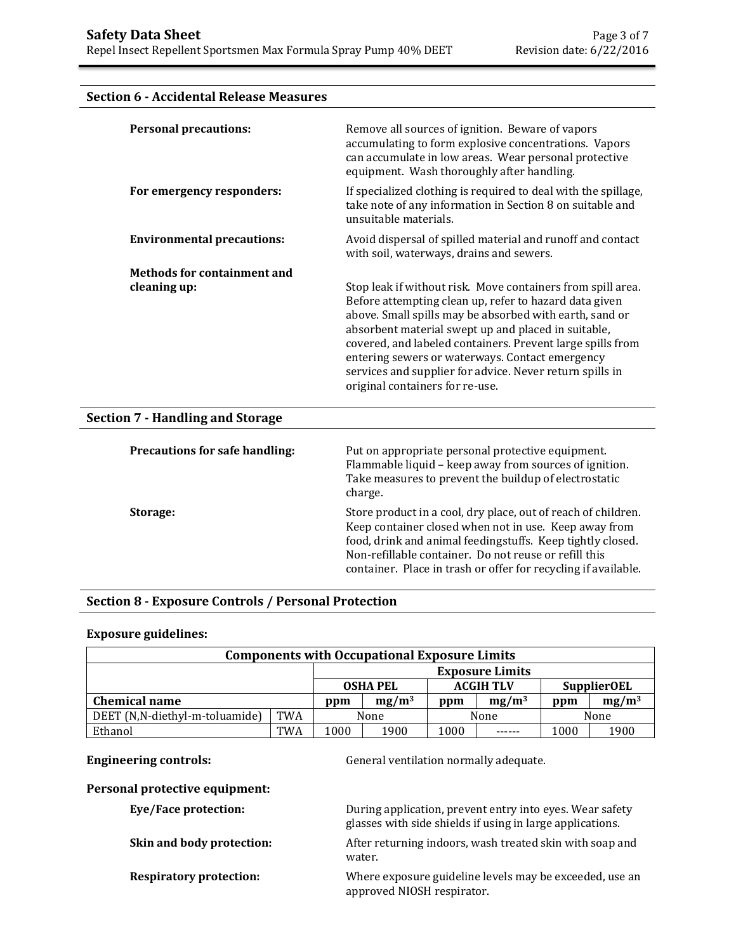# **Section 6 - Accidental Release Measures**

| <b>Personal precautions:</b>            | Remove all sources of ignition. Beware of vapors<br>accumulating to form explosive concentrations. Vapors<br>can accumulate in low areas. Wear personal protective<br>equipment. Wash thoroughly after handling.                                                                                                                                                                                                                                        |
|-----------------------------------------|---------------------------------------------------------------------------------------------------------------------------------------------------------------------------------------------------------------------------------------------------------------------------------------------------------------------------------------------------------------------------------------------------------------------------------------------------------|
| For emergency responders:               | If specialized clothing is required to deal with the spillage,<br>take note of any information in Section 8 on suitable and<br>unsuitable materials.                                                                                                                                                                                                                                                                                                    |
| <b>Environmental precautions:</b>       | Avoid dispersal of spilled material and runoff and contact<br>with soil, waterways, drains and sewers.                                                                                                                                                                                                                                                                                                                                                  |
| <b>Methods for containment and</b>      |                                                                                                                                                                                                                                                                                                                                                                                                                                                         |
| cleaning up:                            | Stop leak if without risk. Move containers from spill area.<br>Before attempting clean up, refer to hazard data given<br>above. Small spills may be absorbed with earth, sand or<br>absorbent material swept up and placed in suitable,<br>covered, and labeled containers. Prevent large spills from<br>entering sewers or waterways. Contact emergency<br>services and supplier for advice. Never return spills in<br>original containers for re-use. |
| <b>Section 7 - Handling and Storage</b> |                                                                                                                                                                                                                                                                                                                                                                                                                                                         |
| <b>Precautions for safe handling:</b>   | Put on appropriate personal protective equipment.<br>Flammable liquid - keep away from sources of ignition.<br>Take measures to prevent the buildup of electrostatic<br>charge.                                                                                                                                                                                                                                                                         |
| Storage:                                | Store product in a cool, dry place, out of reach of children.<br>Keep container closed when not in use. Keep away from<br>food, drink and animal feedingstuffs. Keep tightly closed.<br>Non-refillable container. Do not reuse or refill this<br>container. Place in trash or offer for recycling if available.                                                                                                                                         |

# **Section 8 - Exposure Controls / Personal Protection**

## **Exposure guidelines:**

| <b>Components with Occupational Exposure Limits</b> |            |                                    |      |                  |                        |                    |      |
|-----------------------------------------------------|------------|------------------------------------|------|------------------|------------------------|--------------------|------|
|                                                     |            |                                    |      |                  | <b>Exposure Limits</b> |                    |      |
|                                                     |            | <b>OSHA PEL</b>                    |      | <b>ACGIH TLV</b> |                        | <b>SupplierOEL</b> |      |
| <b>Chemical name</b>                                |            | $mg/m^3$<br>$mg/m^3$<br>ppm<br>ppm |      |                  | ppm                    | $mg/m^3$           |      |
| DEET (N,N-diethyl-m-toluamide)                      | <b>TWA</b> | None                               |      | None             |                        |                    | None |
| Ethanol                                             | TWA        | 1000                               | 1900 | 1000             |                        | 1000               | 1900 |

**Engineering controls:** General ventilation normally adequate.

# **Personal protective equipment:**

| Eye/Face protection:           | During application, prevent entry into eyes. Wear safety<br>glasses with side shields if using in large applications. |
|--------------------------------|-----------------------------------------------------------------------------------------------------------------------|
| Skin and body protection:      | After returning indoors, wash treated skin with soap and<br>water.                                                    |
| <b>Respiratory protection:</b> | Where exposure guideline levels may be exceeded, use an<br>approved NIOSH respirator.                                 |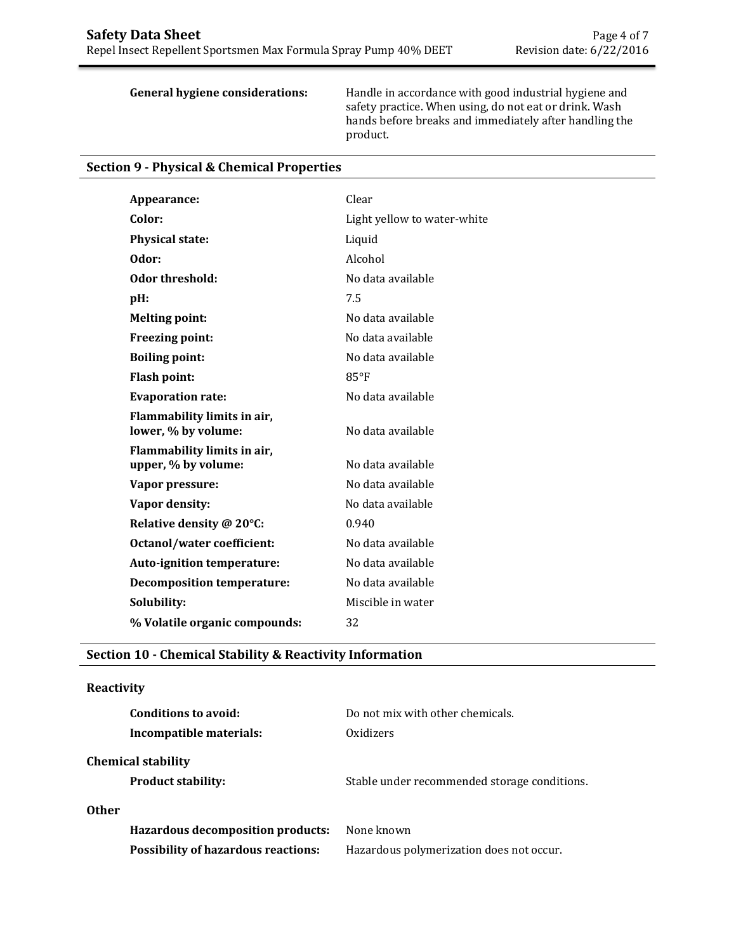**General hygiene considerations:** Handle in accordance with good industrial hygiene and safety practice. When using, do not eat or drink. Wash hands before breaks and immediately after handling the product.

|  |  | <b>Section 9 - Physical &amp; Chemical Properties</b> |  |
|--|--|-------------------------------------------------------|--|
|--|--|-------------------------------------------------------|--|

| Appearance:                       | Clear                       |
|-----------------------------------|-----------------------------|
| Color:                            | Light yellow to water-white |
| <b>Physical state:</b>            | Liquid                      |
| Odor:                             | Alcohol                     |
| Odor threshold:                   | No data available           |
| pH:                               | 7.5                         |
| <b>Melting point:</b>             | No data available           |
|                                   |                             |
| Freezing point:                   | No data available           |
| <b>Boiling point:</b>             | No data available           |
| <b>Flash point:</b>               | $85^{\circ}$ F              |
| <b>Evaporation rate:</b>          | No data available           |
| Flammability limits in air,       |                             |
| lower, % by volume:               | No data available           |
| Flammability limits in air,       |                             |
| upper, % by volume:               | No data available           |
| Vapor pressure:                   | No data available           |
| Vapor density:                    | No data available           |
| Relative density @ 20°C:          | 0.940                       |
| <b>Octanol/water coefficient:</b> | No data available           |
| Auto-ignition temperature:        | No data available           |
| <b>Decomposition temperature:</b> | No data available           |
| Solubility:                       | Miscible in water           |
| % Volatile organic compounds:     | 32                          |
|                                   |                             |

# **Section 10 - Chemical Stability & Reactivity Information**

## **Reactivity**

|       | <b>Conditions to avoid:</b>                | Do not mix with other chemicals.             |
|-------|--------------------------------------------|----------------------------------------------|
|       | Incompatible materials:                    | Oxidizers                                    |
|       | <b>Chemical stability</b>                  |                                              |
|       | <b>Product stability:</b>                  | Stable under recommended storage conditions. |
| Other |                                            |                                              |
|       | Hazardous decomposition products:          | None known                                   |
|       | <b>Possibility of hazardous reactions:</b> | Hazardous polymerization does not occur.     |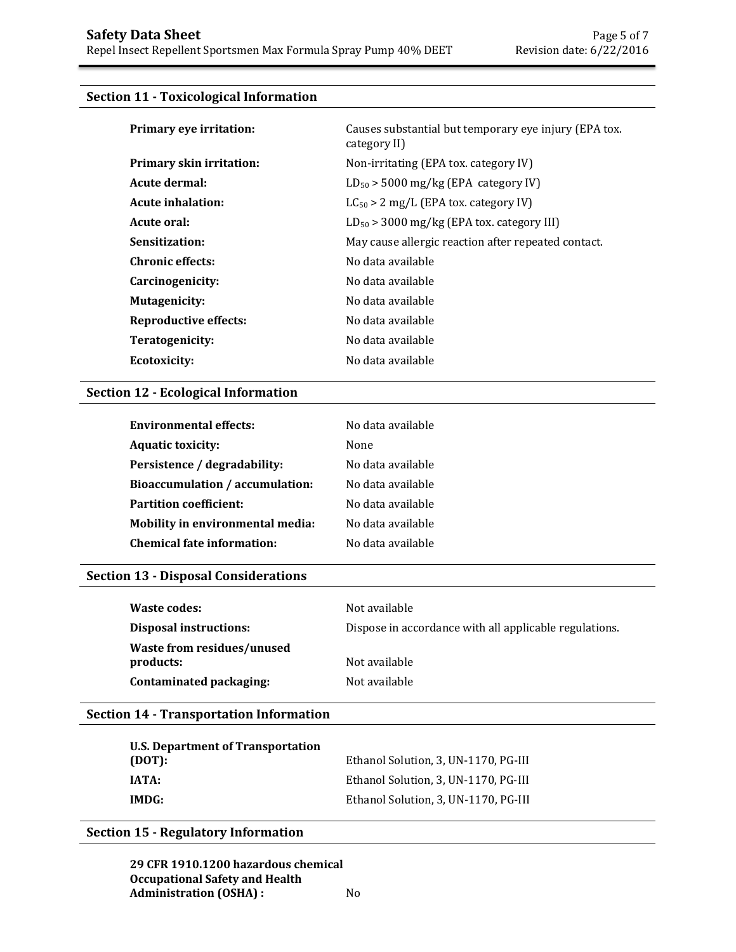# **Section 11 - Toxicological Information**

| Primary eye irritation:         | Causes substantial but temporary eye injury (EPA tox.<br>category II) |
|---------------------------------|-----------------------------------------------------------------------|
| <b>Primary skin irritation:</b> | Non-irritating (EPA tox. category IV)                                 |
| Acute dermal:                   | $LD_{50}$ > 5000 mg/kg (EPA category IV)                              |
| Acute inhalation:               | $LC_{50} > 2$ mg/L (EPA tox. category IV)                             |
| Acute oral:                     | $LD_{50}$ > 3000 mg/kg (EPA tox. category III)                        |
| Sensitization:                  | May cause allergic reaction after repeated contact.                   |
| <b>Chronic effects:</b>         | No data available                                                     |
| Carcinogenicity:                | No data available                                                     |
| Mutagenicity:                   | No data available                                                     |
| <b>Reproductive effects:</b>    | No data available                                                     |
| Teratogenicity:                 | No data available                                                     |
| <b>Ecotoxicity:</b>             | No data available                                                     |

# **Section 12 - Ecological Information**

| <b>Environmental effects:</b>     | No data available |
|-----------------------------------|-------------------|
| <b>Aquatic toxicity:</b>          | None              |
| Persistence / degradability:      | No data available |
| Bioaccumulation / accumulation:   | No data available |
| <b>Partition coefficient:</b>     | No data available |
| Mobility in environmental media:  | No data available |
| <b>Chemical fate information:</b> | No data available |

# **Section 13 - Disposal Considerations**

| Waste codes:                            | Not available                                          |
|-----------------------------------------|--------------------------------------------------------|
| <b>Disposal instructions:</b>           | Dispose in accordance with all applicable regulations. |
| Waste from residues/unused<br>products: | Not available                                          |
| Contaminated packaging:                 | Not available                                          |

# **Section 14 - Transportation Information**

| U.S. Department of Transportation<br>(DOT): | Ethanol Solution, 3, UN-1170, PG-III |
|---------------------------------------------|--------------------------------------|
| IATA:                                       | Ethanol Solution, 3, UN-1170, PG-III |
| IMDG:                                       | Ethanol Solution, 3, UN-1170, PG-III |

# **Section 15 - Regulatory Information**

**29 CFR 1910.1200 hazardous chemical Occupational Safety and Health Administration (OSHA) :** No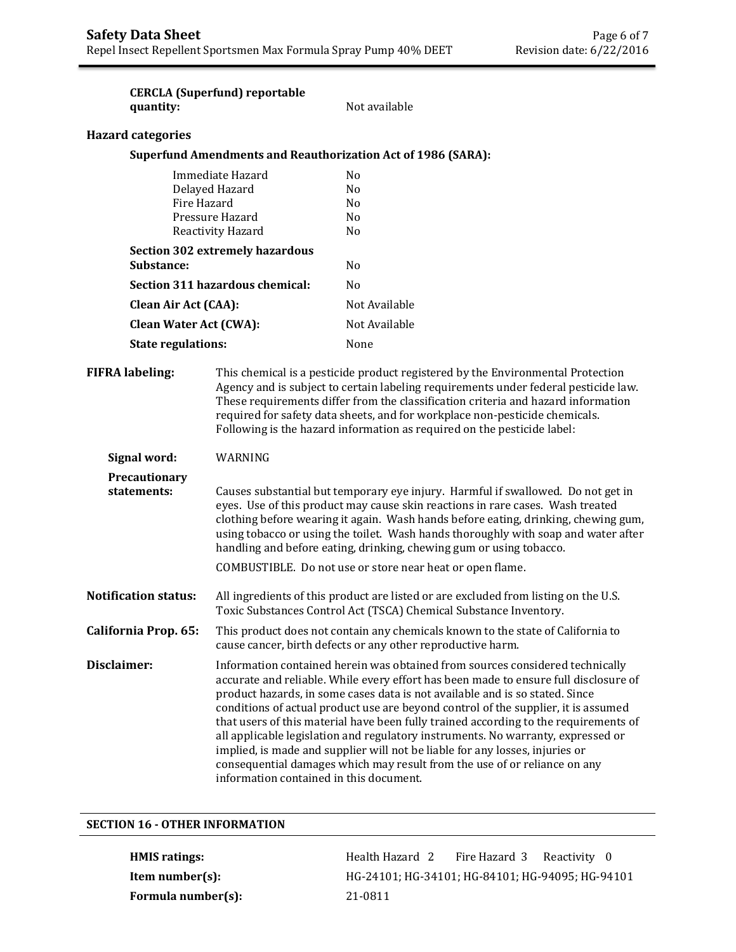| quantity:                     | <b>CERCLA (Superfund) reportable</b>                                                                                                                                                                                                                                                                                                                                                                                                                                                                                                                                                                                                                                                                                            | Not available                                                                                                                                                                                                                                                                                                                                                                                                         |
|-------------------------------|---------------------------------------------------------------------------------------------------------------------------------------------------------------------------------------------------------------------------------------------------------------------------------------------------------------------------------------------------------------------------------------------------------------------------------------------------------------------------------------------------------------------------------------------------------------------------------------------------------------------------------------------------------------------------------------------------------------------------------|-----------------------------------------------------------------------------------------------------------------------------------------------------------------------------------------------------------------------------------------------------------------------------------------------------------------------------------------------------------------------------------------------------------------------|
| <b>Hazard categories</b>      |                                                                                                                                                                                                                                                                                                                                                                                                                                                                                                                                                                                                                                                                                                                                 |                                                                                                                                                                                                                                                                                                                                                                                                                       |
|                               |                                                                                                                                                                                                                                                                                                                                                                                                                                                                                                                                                                                                                                                                                                                                 | <b>Superfund Amendments and Reauthorization Act of 1986 (SARA):</b>                                                                                                                                                                                                                                                                                                                                                   |
| Fire Hazard                   | Immediate Hazard<br>Delayed Hazard<br>Pressure Hazard<br>Reactivity Hazard                                                                                                                                                                                                                                                                                                                                                                                                                                                                                                                                                                                                                                                      | N <sub>0</sub><br>N <sub>0</sub><br>N <sub>0</sub><br>N <sub>0</sub><br>No.                                                                                                                                                                                                                                                                                                                                           |
| Substance:                    | <b>Section 302 extremely hazardous</b>                                                                                                                                                                                                                                                                                                                                                                                                                                                                                                                                                                                                                                                                                          | No                                                                                                                                                                                                                                                                                                                                                                                                                    |
|                               | Section 311 hazardous chemical:                                                                                                                                                                                                                                                                                                                                                                                                                                                                                                                                                                                                                                                                                                 | No                                                                                                                                                                                                                                                                                                                                                                                                                    |
| <b>Clean Air Act (CAA):</b>   |                                                                                                                                                                                                                                                                                                                                                                                                                                                                                                                                                                                                                                                                                                                                 | Not Available                                                                                                                                                                                                                                                                                                                                                                                                         |
| <b>Clean Water Act (CWA):</b> |                                                                                                                                                                                                                                                                                                                                                                                                                                                                                                                                                                                                                                                                                                                                 | Not Available                                                                                                                                                                                                                                                                                                                                                                                                         |
| <b>State regulations:</b>     |                                                                                                                                                                                                                                                                                                                                                                                                                                                                                                                                                                                                                                                                                                                                 | None                                                                                                                                                                                                                                                                                                                                                                                                                  |
| <b>FIFRA labeling:</b>        |                                                                                                                                                                                                                                                                                                                                                                                                                                                                                                                                                                                                                                                                                                                                 | This chemical is a pesticide product registered by the Environmental Protection<br>Agency and is subject to certain labeling requirements under federal pesticide law.<br>These requirements differ from the classification criteria and hazard information<br>required for safety data sheets, and for workplace non-pesticide chemicals.<br>Following is the hazard information as required on the pesticide label: |
| Signal word:                  | WARNING                                                                                                                                                                                                                                                                                                                                                                                                                                                                                                                                                                                                                                                                                                                         |                                                                                                                                                                                                                                                                                                                                                                                                                       |
| Precautionary<br>statements:  | Causes substantial but temporary eye injury. Harmful if swallowed. Do not get in<br>eyes. Use of this product may cause skin reactions in rare cases. Wash treated<br>clothing before wearing it again. Wash hands before eating, drinking, chewing gum,<br>using tobacco or using the toilet. Wash hands thoroughly with soap and water after<br>handling and before eating, drinking, chewing gum or using tobacco.<br>COMBUSTIBLE. Do not use or store near heat or open flame.                                                                                                                                                                                                                                              |                                                                                                                                                                                                                                                                                                                                                                                                                       |
| <b>Notification status:</b>   | All ingredients of this product are listed or are excluded from listing on the U.S.<br>Toxic Substances Control Act (TSCA) Chemical Substance Inventory.                                                                                                                                                                                                                                                                                                                                                                                                                                                                                                                                                                        |                                                                                                                                                                                                                                                                                                                                                                                                                       |
| California Prop. 65:          | This product does not contain any chemicals known to the state of California to<br>cause cancer, birth defects or any other reproductive harm.                                                                                                                                                                                                                                                                                                                                                                                                                                                                                                                                                                                  |                                                                                                                                                                                                                                                                                                                                                                                                                       |
| Disclaimer:                   | Information contained herein was obtained from sources considered technically<br>accurate and reliable. While every effort has been made to ensure full disclosure of<br>product hazards, in some cases data is not available and is so stated. Since<br>conditions of actual product use are beyond control of the supplier, it is assumed<br>that users of this material have been fully trained according to the requirements of<br>all applicable legislation and regulatory instruments. No warranty, expressed or<br>implied, is made and supplier will not be liable for any losses, injuries or<br>consequential damages which may result from the use of or reliance on any<br>information contained in this document. |                                                                                                                                                                                                                                                                                                                                                                                                                       |

# **SECTION 16 - OTHER INFORMATION**

**Formula number(s):** 21-0811

HMIS ratings: The alth Hazard 2 Fire Hazard 3 Reactivity 0 **Item number(s):** HG-24101; HG-34101; HG-84101; HG-94095; HG-94101